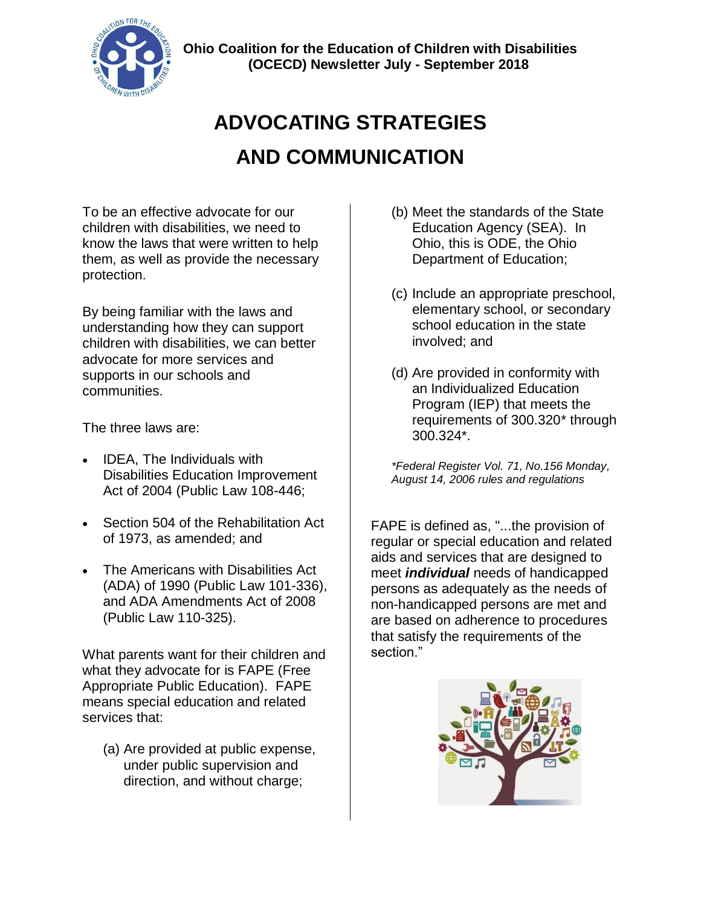

# **ADVOCATING STRATEGIES AND COMMUNICATION**

To be an effective advocate for our children with disabilities, we need to know the laws that were written to help them, as well as provide the necessary protection.

By being familiar with the laws and understanding how they can support children with disabilities, we can better advocate for more services and supports in our schools and communities.

The three laws are:

- IDEA, The Individuals with Disabilities Education Improvement Act of 2004 (Public Law 108-446;
- Section 504 of the Rehabilitation Act of 1973, as amended; and
- The Americans with Disabilities Act (ADA) of 1990 (Public Law 101-336), and ADA Amendments Act of 2008 (Public Law 110-325).

What parents want for their children and what they advocate for is FAPE (Free Appropriate Public Education). FAPE means special education and related services that:

(a) Are provided at public expense, under public supervision and direction, and without charge;

- (b) Meet the standards of the State Education Agency (SEA). In Ohio, this is ODE, the Ohio Department of Education;
- (c) Include an appropriate preschool, elementary school, or secondary school education in the state involved; and
- (d) Are provided in conformity with an Individualized Education Program (IEP) that meets the requirements of 300.320\* through 300.324\*.

*\*Federal Register Vol. 71, No.156 Monday, August 14, 2006 rules and regulations*

FAPE is defined as, "...the provision of regular or special education and related aids and services that are designed to meet *individual* needs of handicapped persons as adequately as the needs of non-handicapped persons are met and are based on adherence to procedures that satisfy the requirements of the section."

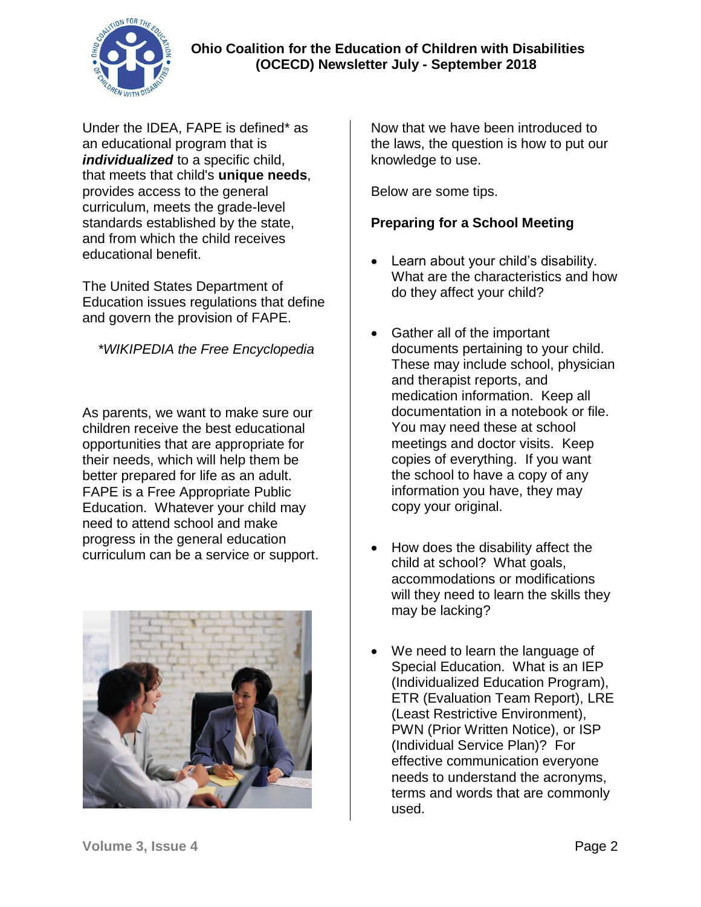

Under the IDEA, FAPE is defined\* as an educational program that is *individualized* to a specific child, that meets that child's **unique needs**, provides access to the general curriculum, meets the grade-level standards established by the state, and from which the child receives educational benefit.

The United States Department of Education issues regulations that define and govern the provision of FAPE.

## *\*WIKIPEDIA the Free Encyclopedia*

As parents, we want to make sure our children receive the best educational opportunities that are appropriate for their needs, which will help them be better prepared for life as an adult. FAPE is a Free Appropriate Public Education. Whatever your child may need to attend school and make progress in the general education curriculum can be a service or support.



Now that we have been introduced to the laws, the question is how to put our knowledge to use.

Below are some tips.

## **Preparing for a School Meeting**

- Learn about your child's disability. What are the characteristics and how do they affect your child?
- Gather all of the important documents pertaining to your child. These may include school, physician and therapist reports, and medication information. Keep all documentation in a notebook or file. You may need these at school meetings and doctor visits. Keep copies of everything. If you want the school to have a copy of any information you have, they may copy your original.
- How does the disability affect the child at school? What goals, accommodations or modifications will they need to learn the skills they may be lacking?
- We need to learn the language of Special Education. What is an IEP (Individualized Education Program), ETR (Evaluation Team Report), LRE (Least Restrictive Environment), PWN (Prior Written Notice), or ISP (Individual Service Plan)? For effective communication everyone needs to understand the acronyms, terms and words that are commonly used.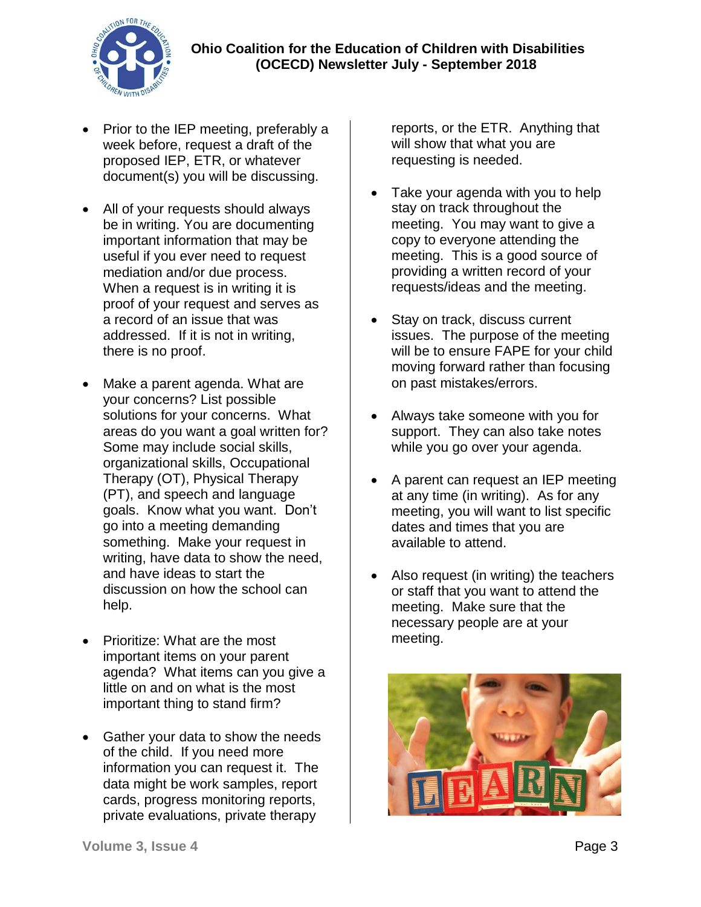

- Prior to the IEP meeting, preferably a week before, request a draft of the proposed IEP, ETR, or whatever document(s) you will be discussing.
- All of your requests should always be in writing. You are documenting important information that may be useful if you ever need to request mediation and/or due process. When a request is in writing it is proof of your request and serves as a record of an issue that was addressed. If it is not in writing, there is no proof.
- Make a parent agenda. What are your concerns? List possible solutions for your concerns. What areas do you want a goal written for? Some may include social skills, organizational skills, Occupational Therapy (OT), Physical Therapy (PT), and speech and language goals. Know what you want. Don't go into a meeting demanding something. Make your request in writing, have data to show the need, and have ideas to start the discussion on how the school can help.
- Prioritize: What are the most important items on your parent agenda? What items can you give a little on and on what is the most important thing to stand firm?
- Gather your data to show the needs of the child. If you need more information you can request it. The data might be work samples, report cards, progress monitoring reports, private evaluations, private therapy

reports, or the ETR. Anything that will show that what you are requesting is needed.

- Take your agenda with you to help stay on track throughout the meeting. You may want to give a copy to everyone attending the meeting. This is a good source of providing a written record of your requests/ideas and the meeting.
- Stay on track, discuss current issues. The purpose of the meeting will be to ensure FAPE for your child moving forward rather than focusing on past mistakes/errors.
- Always take someone with you for support. They can also take notes while you go over your agenda.
- A parent can request an IEP meeting at any time (in writing). As for any meeting, you will want to list specific dates and times that you are available to attend.
- Also request (in writing) the teachers or staff that you want to attend the meeting. Make sure that the necessary people are at your meeting.

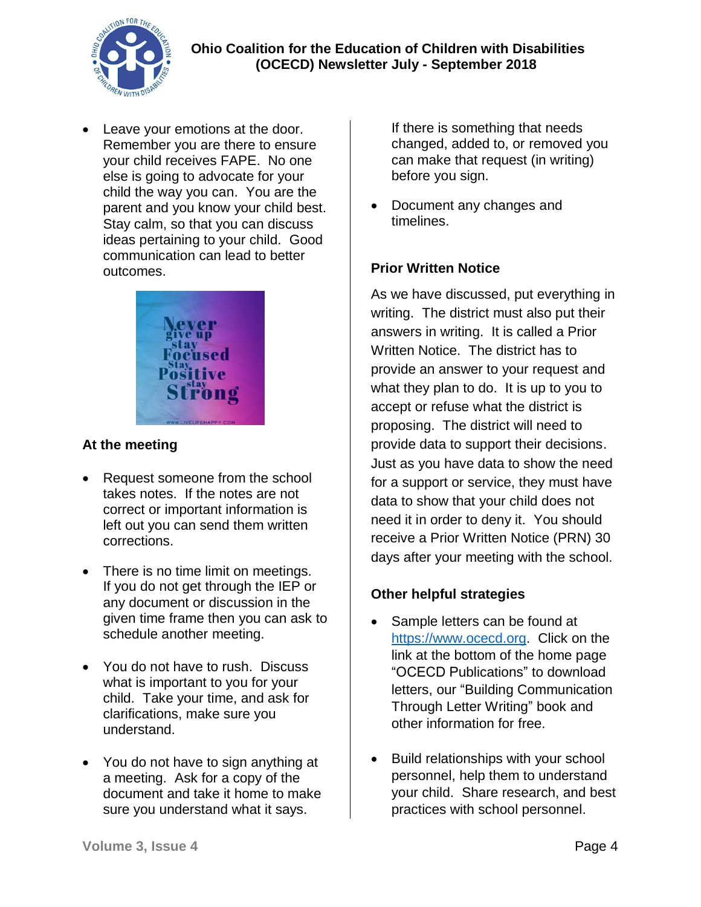

 Leave your emotions at the door. Remember you are there to ensure your child receives FAPE. No one else is going to advocate for your child the way you can. You are the parent and you know your child best. Stay calm, so that you can discuss ideas pertaining to your child. Good communication can lead to better outcomes.



#### **At the meeting**

- Request someone from the school takes notes. If the notes are not correct or important information is left out you can send them written corrections.
- There is no time limit on meetings. If you do not get through the IEP or any document or discussion in the given time frame then you can ask to schedule another meeting.
- You do not have to rush. Discuss what is important to you for your child. Take your time, and ask for clarifications, make sure you understand.
- You do not have to sign anything at a meeting. Ask for a copy of the document and take it home to make sure you understand what it says.

If there is something that needs changed, added to, or removed you can make that request (in writing) before you sign.

 Document any changes and timelines.

## **Prior Written Notice**

As we have discussed, put everything in writing. The district must also put their answers in writing. It is called a Prior Written Notice. The district has to provide an answer to your request and what they plan to do. It is up to you to accept or refuse what the district is proposing. The district will need to provide data to support their decisions. Just as you have data to show the need for a support or service, they must have data to show that your child does not need it in order to deny it. You should receive a Prior Written Notice (PRN) 30 days after your meeting with the school.

# **Other helpful strategies**

- Sample letters can be found at [https://www.ocecd.org.](https://www.ocecd.org/) Click on the link at the bottom of the home page "OCECD Publications" to download letters, our "Building Communication Through Letter Writing" book and other information for free.
- Build relationships with your school personnel, help them to understand your child. Share research, and best practices with school personnel.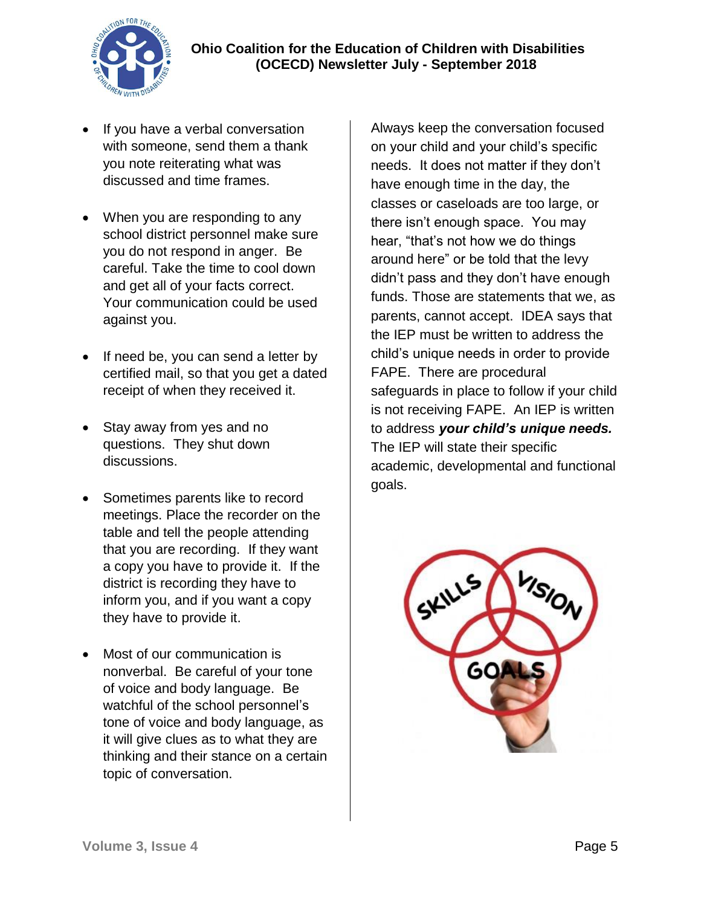

- If you have a verbal conversation with someone, send them a thank you note reiterating what was discussed and time frames.
- When you are responding to any school district personnel make sure you do not respond in anger. Be careful. Take the time to cool down and get all of your facts correct. Your communication could be used against you.
- If need be, you can send a letter by certified mail, so that you get a dated receipt of when they received it.
- Stay away from yes and no questions. They shut down discussions.
- Sometimes parents like to record meetings. Place the recorder on the table and tell the people attending that you are recording. If they want a copy you have to provide it. If the district is recording they have to inform you, and if you want a copy they have to provide it.
- Most of our communication is nonverbal. Be careful of your tone of voice and body language. Be watchful of the school personnel's tone of voice and body language, as it will give clues as to what they are thinking and their stance on a certain topic of conversation.

Always keep the conversation focused on your child and your child's specific needs. It does not matter if they don't have enough time in the day, the classes or caseloads are too large, or there isn't enough space. You may hear, "that's not how we do things around here" or be told that the levy didn't pass and they don't have enough funds. Those are statements that we, as parents, cannot accept. IDEA says that the IEP must be written to address the child's unique needs in order to provide FAPE. There are procedural safeguards in place to follow if your child is not receiving FAPE. An IEP is written to address *your child's unique needs.*  The IEP will state their specific academic, developmental and functional goals.